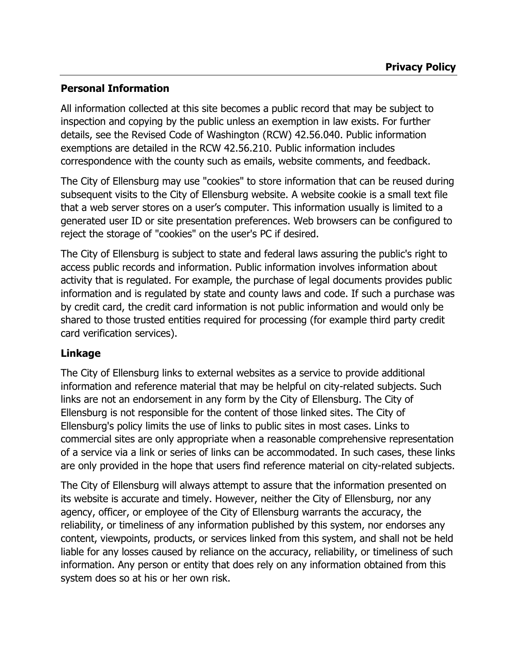## **Personal Information**

All information collected at this site becomes a public record that may be subject to inspection and copying by the public unless an exemption in law exists. For further details, see the Revised Code of Washington (RCW) 42.56.040. Public information exemptions are detailed in the RCW 42.56.210. Public information includes correspondence with the county such as emails, website comments, and feedback.

The City of Ellensburg may use "cookies" to store information that can be reused during subsequent visits to the City of Ellensburg website. A website cookie is a small text file that a web server stores on a user's computer. This information usually is limited to a generated user ID or site presentation preferences. Web browsers can be configured to reject the storage of "cookies" on the user's PC if desired.

The City of Ellensburg is subject to state and federal laws assuring the public's right to access public records and information. Public information involves information about activity that is regulated. For example, the purchase of legal documents provides public information and is regulated by state and county laws and code. If such a purchase was by credit card, the credit card information is not public information and would only be shared to those trusted entities required for processing (for example third party credit card verification services).

## **Linkage**

The City of Ellensburg links to external websites as a service to provide additional information and reference material that may be helpful on city-related subjects. Such links are not an endorsement in any form by the City of Ellensburg. The City of Ellensburg is not responsible for the content of those linked sites. The City of Ellensburg's policy limits the use of links to public sites in most cases. Links to commercial sites are only appropriate when a reasonable comprehensive representation of a service via a link or series of links can be accommodated. In such cases, these links are only provided in the hope that users find reference material on city-related subjects.

The City of Ellensburg will always attempt to assure that the information presented on its website is accurate and timely. However, neither the City of Ellensburg, nor any agency, officer, or employee of the City of Ellensburg warrants the accuracy, the reliability, or timeliness of any information published by this system, nor endorses any content, viewpoints, products, or services linked from this system, and shall not be held liable for any losses caused by reliance on the accuracy, reliability, or timeliness of such information. Any person or entity that does rely on any information obtained from this system does so at his or her own risk.